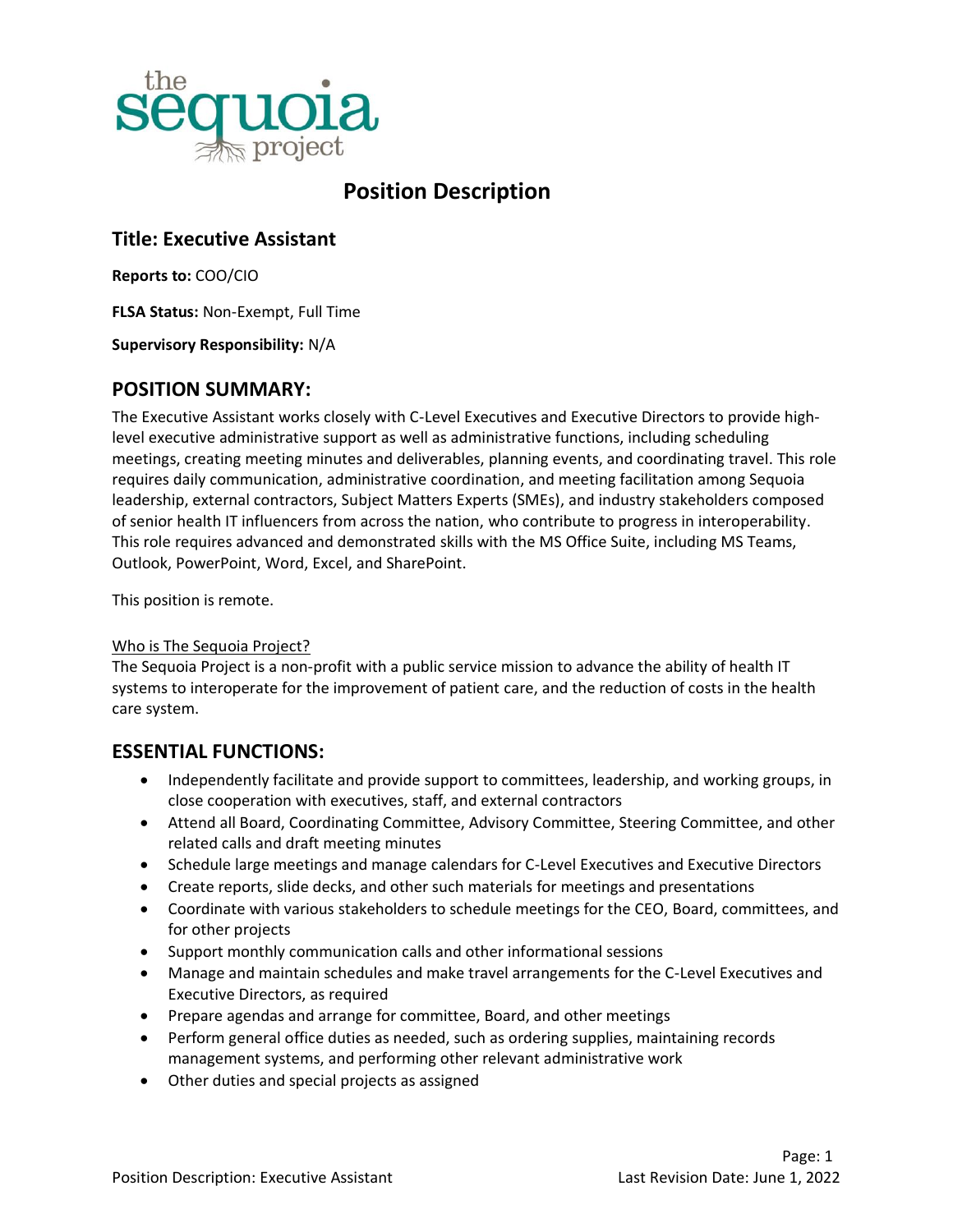

# **Position Description**

# **Title: Executive Assistant**

**Reports to:** COO/CIO

**FLSA Status:** Non-Exempt, Full Time

**Supervisory Responsibility:** N/A

#### **POSITION SUMMARY:**

The Executive Assistant works closely with C-Level Executives and Executive Directors to provide highlevel executive administrative support as well as administrative functions, including scheduling meetings, creating meeting minutes and deliverables, planning events, and coordinating travel. This role requires daily communication, administrative coordination, and meeting facilitation among Sequoia leadership, external contractors, Subject Matters Experts (SMEs), and industry stakeholders composed of senior health IT influencers from across the nation, who contribute to progress in interoperability. This role requires advanced and demonstrated skills with the MS Office Suite, including MS Teams, Outlook, PowerPoint, Word, Excel, and SharePoint.

This position is remote.

#### Who is The Sequoia Project?

The Sequoia Project is a non-profit with a public service mission to advance the ability of health IT systems to interoperate for the improvement of patient care, and the reduction of costs in the health care system.

### **ESSENTIAL FUNCTIONS:**

- Independently facilitate and provide support to committees, leadership, and working groups, in close cooperation with executives, staff, and external contractors
- Attend all Board, Coordinating Committee, Advisory Committee, Steering Committee, and other related calls and draft meeting minutes
- Schedule large meetings and manage calendars for C-Level Executives and Executive Directors
- Create reports, slide decks, and other such materials for meetings and presentations
- Coordinate with various stakeholders to schedule meetings for the CEO, Board, committees, and for other projects
- Support monthly communication calls and other informational sessions
- Manage and maintain schedules and make travel arrangements for the C-Level Executives and Executive Directors, as required
- Prepare agendas and arrange for committee, Board, and other meetings
- Perform general office duties as needed, such as ordering supplies, maintaining records management systems, and performing other relevant administrative work
- Other duties and special projects as assigned